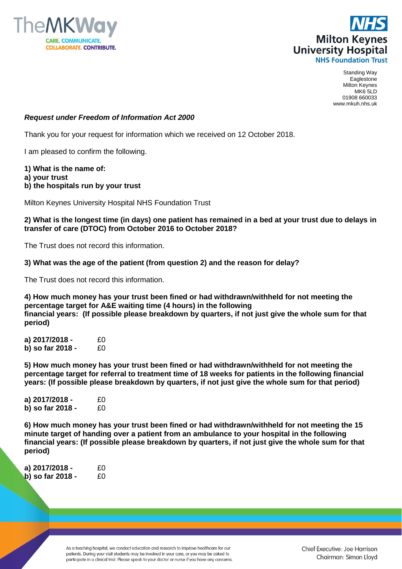



Standing Way Eaglestone Milton Keynes MK6 5LD 01908 660033 www.mkuh.nhs.uk

## *Request under Freedom of Information Act 2000*

Thank you for your request for information which we received on 12 October 2018.

I am pleased to confirm the following.

- **1) What is the name of:**
- **a) your trust**
- **b) the hospitals run by your trust**

Milton Keynes University Hospital NHS Foundation Trust

## **2) What is the longest time (in days) one patient has remained in a bed at your trust due to delays in transfer of care (DTOC) from October 2016 to October 2018?**

The Trust does not record this information.

**3) What was the age of the patient (from question 2) and the reason for delay?**

The Trust does not record this information.

**4) How much money has your trust been fined or had withdrawn/withheld for not meeting the percentage target for A&E waiting time (4 hours) in the following financial years: (If possible please breakdown by quarters, if not just give the whole sum for that period)**

**a) 2017/2018 -** £0 **b) so far 2018 -** £0

**5) How much money has your trust been fined or had withdrawn/withheld for not meeting the percentage target for referral to treatment time of 18 weeks for patients in the following financial years: (If possible please breakdown by quarters, if not just give the whole sum for that period)**

**a) 2017/2018 -** £0 **b) so far 2018 -** £0

**6) How much money has your trust been fined or had withdrawn/withheld for not meeting the 15 minute target of handing over a patient from an ambulance to your hospital in the following financial years: (If possible please breakdown by quarters, if not just give the whole sum for that period)**

**a) 2017/2018 -** £0 **b) so far 2018 -** £0

> As a teaching hospital, we conduct education and research to improve healthcare for our patients. During your visit students may be involved in your care, or you may be asked to participate in a clinical trial. Please speak to your doctor or nurse if you have any concerns.

Chief Executive: Joe Harrison Chairman: Simon Lloyd